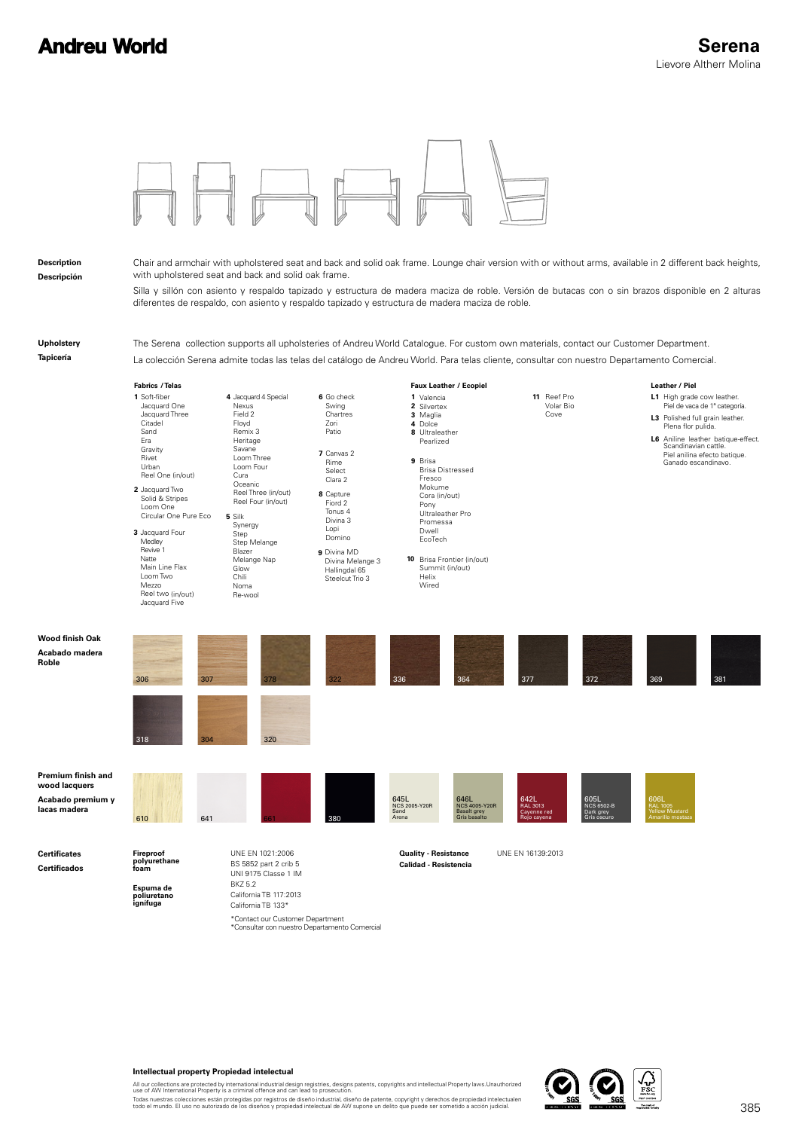# **Andreu World**



#### **Intellectual property Propiedad intelectual**

All our collections are protected by international industrial design registries, designs patents, copyrights and intellectual Property laws.Unauthorized<br>use of AW International Property is a criminal offence and can lead t

Todas nuestras colecciones están protegidas por registros de diseño industrial, diseño de patente, copyright y derechos de propiedad intelectualen<br>todo el mundo. El uso no autorizado de los diseños y propiedad intelectual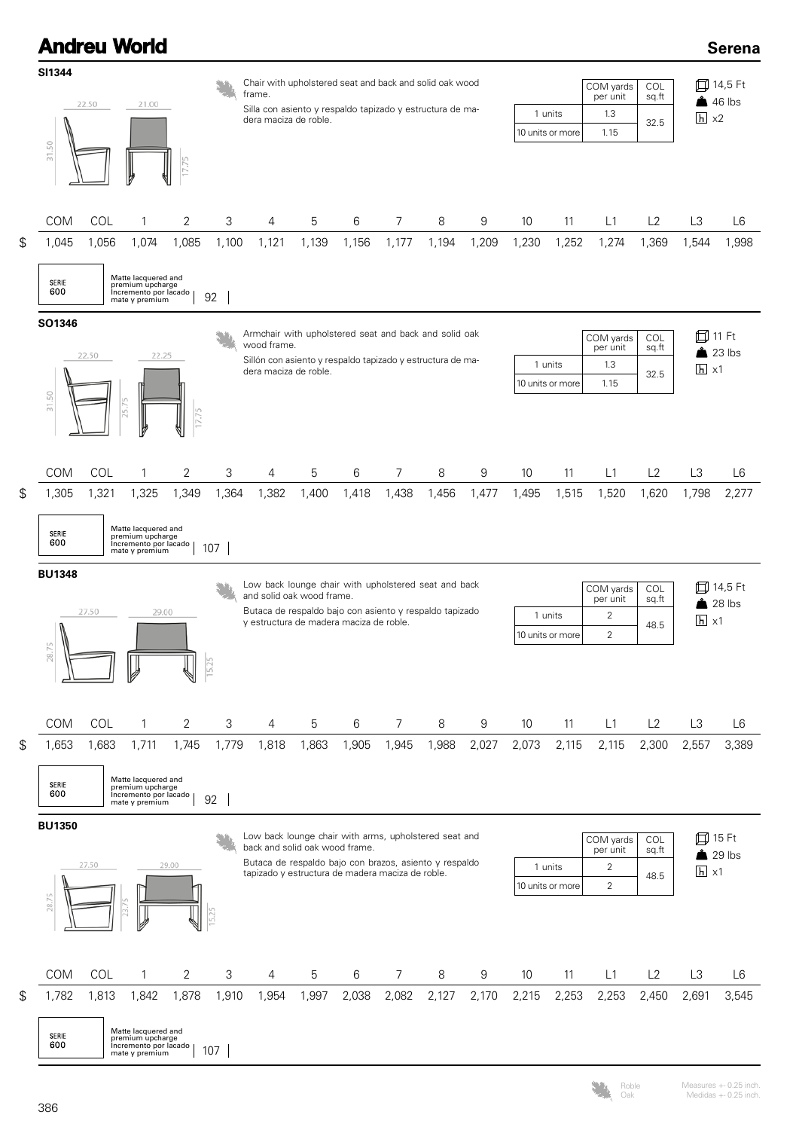## **Serena**

|                           | SI1344              |       |                                                                                    |                |                              | Chair with upholstered seat and back and solid oak wood                                            |       |       |                |       |                             |                                       |                  | COM yards                  | COL                 | ⋔              | 14,5 Ft             |  |  |
|---------------------------|---------------------|-------|------------------------------------------------------------------------------------|----------------|------------------------------|----------------------------------------------------------------------------------------------------|-------|-------|----------------|-------|-----------------------------|---------------------------------------|------------------|----------------------------|---------------------|----------------|---------------------|--|--|
|                           | 22.50<br>21.00      |       |                                                                                    |                |                              | frame.<br>Silla con asiento y respaldo tapizado y estructura de ma-                                |       |       |                |       |                             |                                       |                  | per unit<br>1.3            | sq.ft               |                | 46 lbs              |  |  |
|                           |                     |       |                                                                                    |                | dera maciza de roble.        |                                                                                                    |       |       |                |       | 1 units<br>10 units or more |                                       | 1.15             | $h \times 2$<br>32.5       |                     |                |                     |  |  |
|                           | 31.50               |       |                                                                                    |                |                              |                                                                                                    |       |       |                |       |                             |                                       |                  |                            |                     |                |                     |  |  |
|                           | <b>COM</b>          | COL   | 1                                                                                  | 2              | 3                            | 4                                                                                                  | 5     | 6     | 7              | 8     | 9                           | 10                                    | 11               | L1                         | L2                  | L <sub>3</sub> | L6                  |  |  |
| $$\mathfrak{S}$$          | 1,045               | 1,056 | 1,074                                                                              | 1,085          | 1,100                        | 1,121                                                                                              | 1,139 | 1,156 | 1,177          | 1,194 | 1,209                       | 1,230                                 | 1,252            | 1,274                      | 1,369               | 1,544          | 1,998               |  |  |
|                           | <b>SERIE</b><br>600 |       | Matte lacquered and<br>premium upcharge<br>Incremento por lacado<br>mate y premium |                | 92                           |                                                                                                    |       |       |                |       |                             |                                       |                  |                            |                     |                |                     |  |  |
|                           | SO1346              |       |                                                                                    |                |                              | Armchair with upholstered seat and back and solid oak                                              |       |       |                |       |                             |                                       |                  |                            |                     |                |                     |  |  |
|                           |                     | 22.50 | 22.25                                                                              |                |                              | wood frame.                                                                                        |       |       |                |       |                             | COL<br>COM yards<br>per unit<br>sq.ft |                  |                            |                     |                | 11 Ft<br>23 lbs     |  |  |
|                           |                     |       |                                                                                    |                |                              | Sillón con asiento y respaldo tapizado y estructura de ma-<br>dera maciza de roble.                |       |       |                |       |                             |                                       | 1 units          | $h \times 1$               |                     |                |                     |  |  |
|                           | 31.50               |       |                                                                                    |                |                              |                                                                                                    |       |       |                |       |                             |                                       | 10 units or more | 1.15                       |                     |                |                     |  |  |
|                           |                     |       | 25.75                                                                              |                |                              |                                                                                                    |       |       |                |       |                             |                                       |                  |                            |                     |                |                     |  |  |
|                           | <b>COM</b>          | COL   | 1                                                                                  | 2              | 3                            | 4                                                                                                  | 5     | 6     | 7              | 8     | 9                           | 10                                    | 11               | L1                         | L2                  | L <sub>3</sub> | L6                  |  |  |
| $\boldsymbol{\mathsf{S}}$ | 1,305               | 1,321 | 1,325                                                                              | 1,349          | 1,364                        | 1,382                                                                                              | 1,400 | 1,418 | 1,438          | 1,456 | 1,477                       | 1,495                                 | 1,515            | 1,520                      | 1,620               | 1,798          | 2,277               |  |  |
|                           | SERIE<br>600        |       | Matte lacquered and<br>premium upcharge<br>Incremento por lacado<br>mate y premium |                | 107                          |                                                                                                    |       |       |                |       |                             |                                       |                  |                            |                     |                |                     |  |  |
|                           |                     |       |                                                                                    |                |                              |                                                                                                    |       |       |                |       |                             |                                       |                  |                            |                     |                |                     |  |  |
|                           | <b>BU1348</b>       |       |                                                                                    |                |                              | Low back lounge chair with upholstered seat and back                                               |       |       |                |       |                             |                                       |                  |                            |                     |                |                     |  |  |
|                           |                     |       |                                                                                    |                |                              | and solid oak wood frame.                                                                          |       |       |                |       |                             |                                       |                  | COM yards<br>per unit      | <b>COL</b><br>sq.ft | 血              | 14,5 Ft<br>$28$ lbs |  |  |
|                           |                     | 27.50 | 29.00                                                                              |                |                              | Butaca de respaldo bajo con asiento y respaldo tapizado<br>y estructura de madera maciza de roble. |       |       |                |       |                             |                                       | 1 units          | $\overline{c}$             | 48.5                | $h \times 1$   |                     |  |  |
|                           | 28.75               |       |                                                                                    | ∜              | $\overline{25}$<br>$\approx$ |                                                                                                    |       |       |                |       |                             |                                       | 10 units or more | $\overline{2}$             |                     |                |                     |  |  |
|                           | COM                 | COL   | $\mathbf{1}$                                                                       | $\overline{2}$ | 3                            | $\overline{4}$                                                                                     | 5     | 6     | $\overline{7}$ | 8     | 9                           | 10                                    | 11               | L1                         | L2                  | L3             | L6                  |  |  |
| \$                        | 1,653               | 1,683 | 1,711                                                                              | 1,745          | 1,779                        | 1,818                                                                                              | 1,863 | 1,905 | 1,945          | 1,988 | 2,027                       | 2,073                                 | 2,115            | 2,115                      | 2,300               | 2,557          | 3,389               |  |  |
|                           | SERIE<br>600        |       | Matte lacquered and<br>premium upcharge<br>Incremento por lacado<br>mate y premium |                | 92                           |                                                                                                    |       |       |                |       |                             |                                       |                  |                            |                     |                |                     |  |  |
|                           | <b>BU1350</b>       |       |                                                                                    |                |                              | Low back lounge chair with arms, upholstered seat and                                              |       |       |                |       |                             |                                       |                  | COM yards                  | COL                 |                | 口 15 Ft             |  |  |
|                           |                     | 27.50 |                                                                                    | 29.00          |                              | back and solid oak wood frame.<br>Butaca de respaldo bajo con brazos, asiento y respaldo           |       |       |                |       |                             |                                       | 1 units          | per unit<br>$\overline{2}$ | sq.ft               |                | $29$ lbs            |  |  |
|                           |                     |       |                                                                                    |                |                              | tapizado y estructura de madera maciza de roble.                                                   |       |       |                |       |                             |                                       | 10 units or more | $\overline{2}$             | 48.5                | $h \times 1$   |                     |  |  |
|                           | 28.75               |       |                                                                                    |                |                              |                                                                                                    |       |       |                |       |                             |                                       |                  |                            |                     |                |                     |  |  |
|                           | <b>COM</b>          | COL   | 1                                                                                  | 2              | 3                            | 4                                                                                                  | 5     | 6     | 7              | 8     | 9                           | 10                                    | 11               | L1                         | L2                  | L <sub>3</sub> | L6                  |  |  |
| $\boldsymbol{\mathsf{S}}$ | 1,782               | 1,813 | 1,842                                                                              | 1,878          | 1,910                        | 1,954                                                                                              | 1,997 | 2,038 | 2,082          | 2,127 | 2,170                       | 2,215                                 | 2,253            | 2,253                      | 2,450               | 2,691          | 3,545               |  |  |

**Andreu World** 

Roble Oak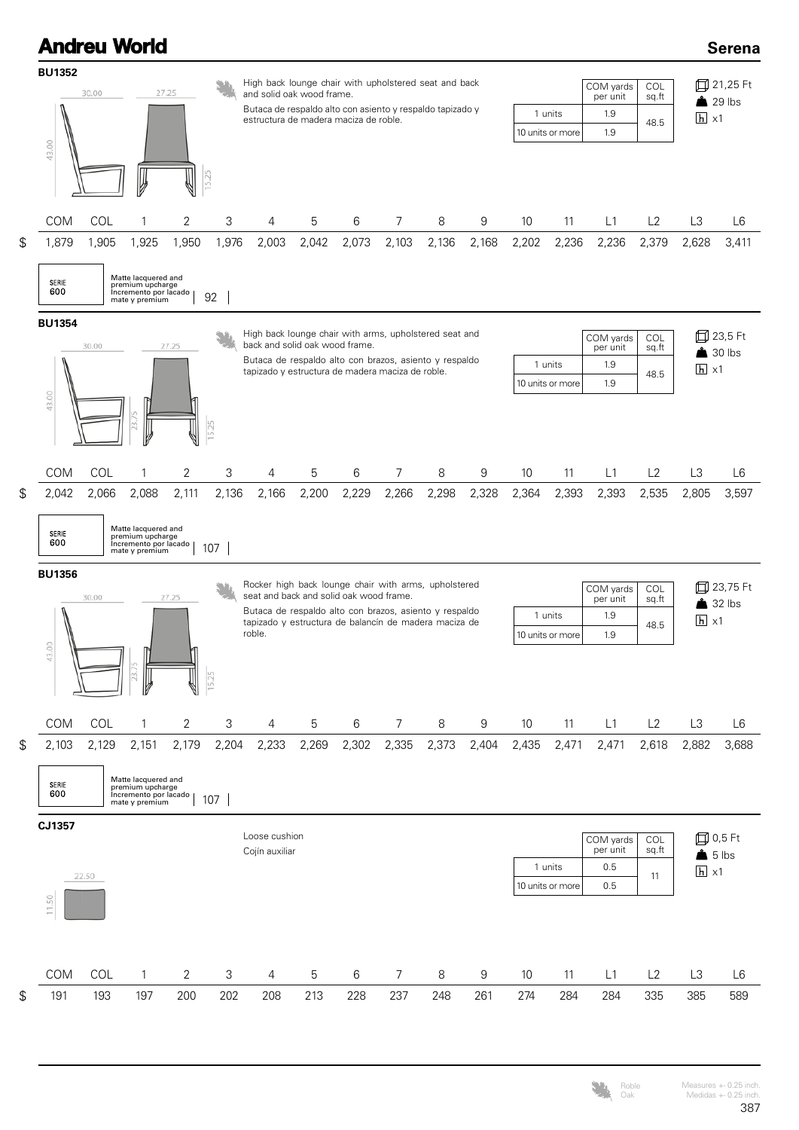#### **Andreu World BU1352** High back lounge chair with upholstered seat and back  $\mathbf{S}^{\mathbf{a}}_{\mathbf{a}}$ 30.00 27.25 and solid oak wood frame.

**Serena**